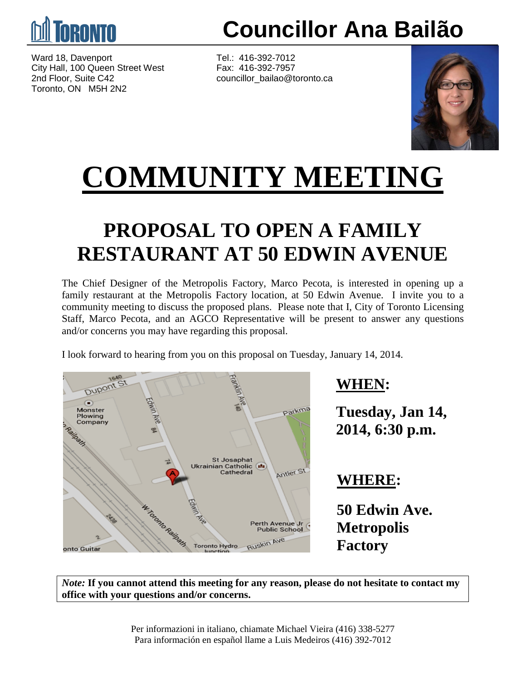

Ward 18, Davenport Tel.: 416-392-7012<br>City Hall. 100 Queen Street West Fax: 416-392-7957 City Hall, 100 Queen Street West 2nd Floor, Suite C42 councillor\_bailao@toronto.ca Toronto, ON M5H 2N2

**Councillor Ana Bailão**



## **COMMUNITY MEETING**

## **PROPOSAL TO OPEN A FAMILY RESTAURANT AT 50 EDWIN AVENUE**

The Chief Designer of the Metropolis Factory, Marco Pecota, is interested in opening up a family restaurant at the Metropolis Factory location, at 50 Edwin Avenue. I invite you to a community meeting to discuss the proposed plans. Please note that I, City of Toronto Licensing Staff, Marco Pecota, and an AGCO Representative will be present to answer any questions and/or concerns you may have regarding this proposal.

I look forward to hearing from you on this proposal on Tuesday, January 14, 2014.



#### **WHEN:**

**Tuesday, Jan 14, 2014, 6:30 p.m.**

#### **WHERE:**

**50 Edwin Ave. Metropolis Factory**

*Note:* **If you cannot attend this meeting for any reason, please do not hesitate to contact my office with your questions and/or concerns.**

> Per informazioni in italiano, chiamate Michael Vieira (416) 338-5277 Para información en español llame a Luis Medeiros (416) 392-7012